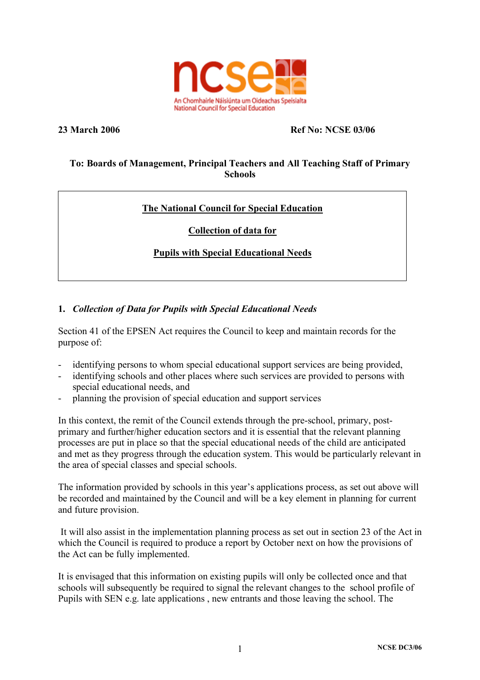

### **23 March 2006 Ref No: NCSE 03/06**

# **To: Boards of Management, Principal Teachers and All Teaching Staff of Primary Schools**

# **The National Council for Special Education**

# **Collection of data for**

# **Pupils with Special Educational Needs**

# **1.** *Collection of Data for Pupils with Special Educational Needs*

Section 41 of the EPSEN Act requires the Council to keep and maintain records for the purpose of:

- identifying persons to whom special educational support services are being provided,
- identifying schools and other places where such services are provided to persons with special educational needs, and
- planning the provision of special education and support services

In this context, the remit of the Council extends through the pre-school, primary, postprimary and further/higher education sectors and it is essential that the relevant planning processes are put in place so that the special educational needs of the child are anticipated and met as they progress through the education system. This would be particularly relevant in the area of special classes and special schools.

The information provided by schools in this year's applications process, as set out above will be recorded and maintained by the Council and will be a key element in planning for current and future provision.

It will also assist in the implementation planning process as set out in section 23 of the Act in which the Council is required to produce a report by October next on how the provisions of the Act can be fully implemented.

It is envisaged that this information on existing pupils will only be collected once and that schools will subsequently be required to signal the relevant changes to the school profile of Pupils with SEN e.g. late applications , new entrants and those leaving the school. The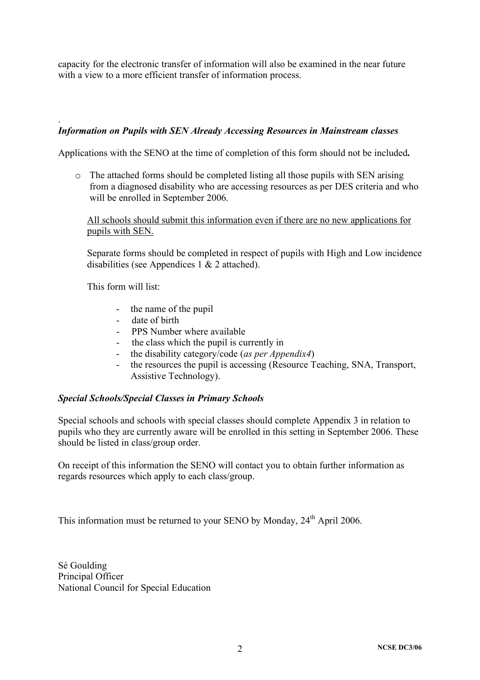capacity for the electronic transfer of information will also be examined in the near future with a view to a more efficient transfer of information process.

### *Information on Pupils with SEN Already Accessing Resources in Mainstream classes*

Applications with the SENO at the time of completion of this form should not be included**.**

o The attached forms should be completed listing all those pupils with SEN arising from a diagnosed disability who are accessing resources as per DES criteria and who will be enrolled in September 2006.

All schools should submit this information even if there are no new applications for pupils with SEN.

Separate forms should be completed in respect of pupils with High and Low incidence disabilities (see Appendices 1 & 2 attached).

This form will list:

.

- the name of the pupil
- date of birth
- PPS Number where available
- the class which the pupil is currently in
- the disability category/code (*as per Appendix4*)
- the resources the pupil is accessing (Resource Teaching, SNA, Transport, Assistive Technology).

#### *Special Schools/Special Classes in Primary Schools*

Special schools and schools with special classes should complete Appendix 3 in relation to pupils who they are currently aware will be enrolled in this setting in September 2006. These should be listed in class/group order.

On receipt of this information the SENO will contact you to obtain further information as regards resources which apply to each class/group.

This information must be returned to your SENO by Monday,  $24<sup>th</sup>$  April 2006.

Sé Goulding Principal Officer National Council for Special Education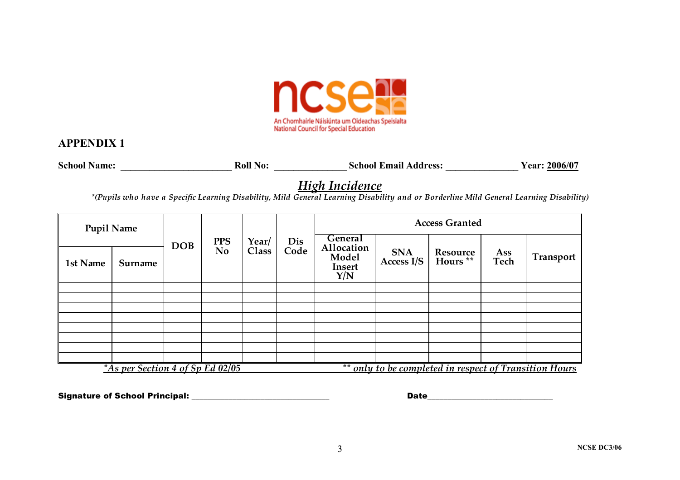

## **APPENDIX 1**

**School Name: \_\_\_\_\_\_\_\_\_\_\_\_\_\_\_\_\_\_\_\_\_\_\_ Roll No: \_\_\_\_\_\_\_\_\_\_\_\_\_\_\_ School Email Address: \_\_\_\_\_\_\_\_\_\_\_\_\_\_\_ Year: 2006/07**

# *High Incidence*

\*(Pupils who have a Specific Learning Disability, Mild General Learning Disability and or Borderline Mild General Learning Disability)

| <b>Pupil Name</b>                                                                          |         |            |                              |                |             | <b>Access Granted</b>                                         |                          |                                 |             |           |
|--------------------------------------------------------------------------------------------|---------|------------|------------------------------|----------------|-------------|---------------------------------------------------------------|--------------------------|---------------------------------|-------------|-----------|
| 1st Name                                                                                   | Surname | <b>DOB</b> | <b>PPS</b><br>N <sub>o</sub> | Year/<br>Class | Dis<br>Code | <b>General</b><br>Allocation<br>Model<br><b>Insert</b><br>Y/N | <b>SNA</b><br>Access I/S | Resource<br>Hours <sup>**</sup> | Ass<br>Tech | Transport |
|                                                                                            |         |            |                              |                |             |                                                               |                          |                                 |             |           |
|                                                                                            |         |            |                              |                |             |                                                               |                          |                                 |             |           |
|                                                                                            |         |            |                              |                |             |                                                               |                          |                                 |             |           |
|                                                                                            |         |            |                              |                |             |                                                               |                          |                                 |             |           |
|                                                                                            |         |            |                              |                |             |                                                               |                          |                                 |             |           |
|                                                                                            |         |            |                              |                |             |                                                               |                          |                                 |             |           |
|                                                                                            |         |            |                              |                |             |                                                               |                          |                                 |             |           |
|                                                                                            |         |            |                              |                |             |                                                               |                          |                                 |             |           |
| ** only to be completed in respect of Transition Hours<br>*As per Section 4 of Sp Ed 02/05 |         |            |                              |                |             |                                                               |                          |                                 |             |           |

Signature of School Principal: \_\_\_\_\_\_\_\_\_\_\_\_\_\_\_\_\_\_\_\_\_\_\_\_\_\_\_\_\_\_\_\_\_\_ Date\_\_\_\_\_\_\_\_\_\_\_\_\_\_\_\_\_\_\_\_\_\_\_\_\_\_\_\_\_\_\_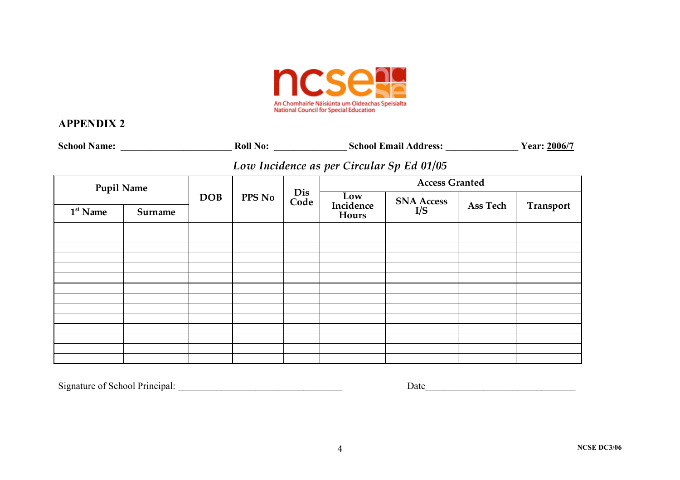

# **APPENDIX 2**

| <b>School Name:</b> |         |  |               |             | <b>School Email Address:</b> |                                           |          |           |  |
|---------------------|---------|--|---------------|-------------|------------------------------|-------------------------------------------|----------|-----------|--|
|                     |         |  |               |             |                              | Low Incidence as per Circular Sp Ed 01/05 |          |           |  |
| <b>Pupil Name</b>   |         |  | <b>PPS No</b> | Dis<br>Code | <b>Access Granted</b>        |                                           |          |           |  |
| $1st$ Name          | Surname |  |               |             | Low<br>Incidence<br>Hours    | <b>SNA Access</b><br>I/S                  | Ass Tech | Transport |  |
|                     |         |  |               |             |                              |                                           |          |           |  |
|                     |         |  |               |             |                              |                                           |          |           |  |
|                     |         |  |               |             |                              |                                           |          |           |  |
|                     |         |  |               |             |                              |                                           |          |           |  |
|                     |         |  |               |             |                              |                                           |          |           |  |
|                     |         |  |               |             |                              |                                           |          |           |  |
|                     |         |  |               |             |                              |                                           |          |           |  |
|                     |         |  |               |             |                              |                                           |          |           |  |
|                     |         |  |               |             |                              |                                           |          |           |  |
|                     |         |  |               |             |                              |                                           |          |           |  |
|                     |         |  |               |             |                              |                                           |          |           |  |

Signature of School Principal: \_\_\_\_\_\_\_\_\_\_\_\_\_\_\_\_\_\_\_\_\_\_\_\_\_\_\_\_\_\_\_\_\_\_ Date\_\_\_\_\_\_\_\_\_\_\_\_\_\_\_\_\_\_\_\_\_\_\_\_\_\_\_\_\_\_\_